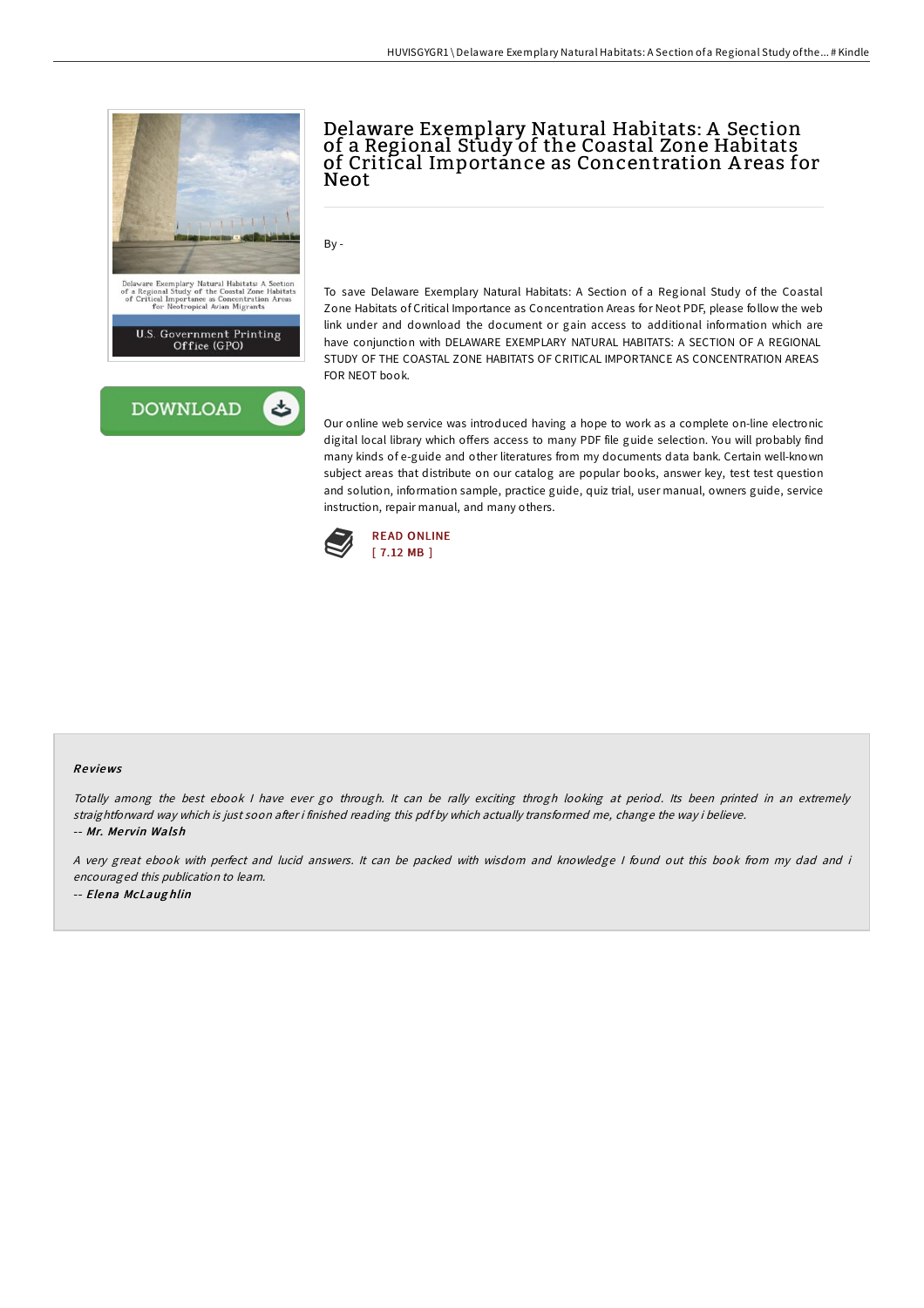

## Delaware Exemplary Natural Habitats: A Section of a Regional Study of the Coastal Zone Habitats of Critical Importance as Concentration A reas for Neot

By -

To save Delaware Exemplary Natural Habitats: A Section of a Regional Study of the Coastal Zone Habitats of Critical Importance as Concentration Areas for Neot PDF, please follow the web link under and download the document or gain access to additional information which are have conjunction with DELAWARE EXEMPLARY NATURAL HABITATS: A SECTION OF A REGIONAL STUDY OF THE COASTAL ZONE HABITATS OF CRITICAL IMPORTANCE AS CONCENTRATION AREAS FOR NEOT book.

Our online web service was introduced having a hope to work as a complete on-line electronic digital local library which offers access to many PDF file guide selection. You will probably find many kinds of e-guide and other literatures from my documents data bank. Certain well-known subject areas that distribute on our catalog are popular books, answer key, test test question and solution, information sample, practice guide, quiz trial, user manual, owners guide, service instruction, repair manual, and many others.



#### Re views

Totally among the best ebook I have ever go through. It can be rally exciting throgh looking at period. Its been printed in an extremely straightforward way which is just soon after i finished reading this pdf by which actually transformed me, change the way i believe. -- Mr. Me rvin Walsh

<sup>A</sup> very great ebook with perfect and lucid answers. It can be packed with wisdom and knowledge <sup>I</sup> found out this book from my dad and i encouraged this publication to learn. -- Elena McLaug hlin